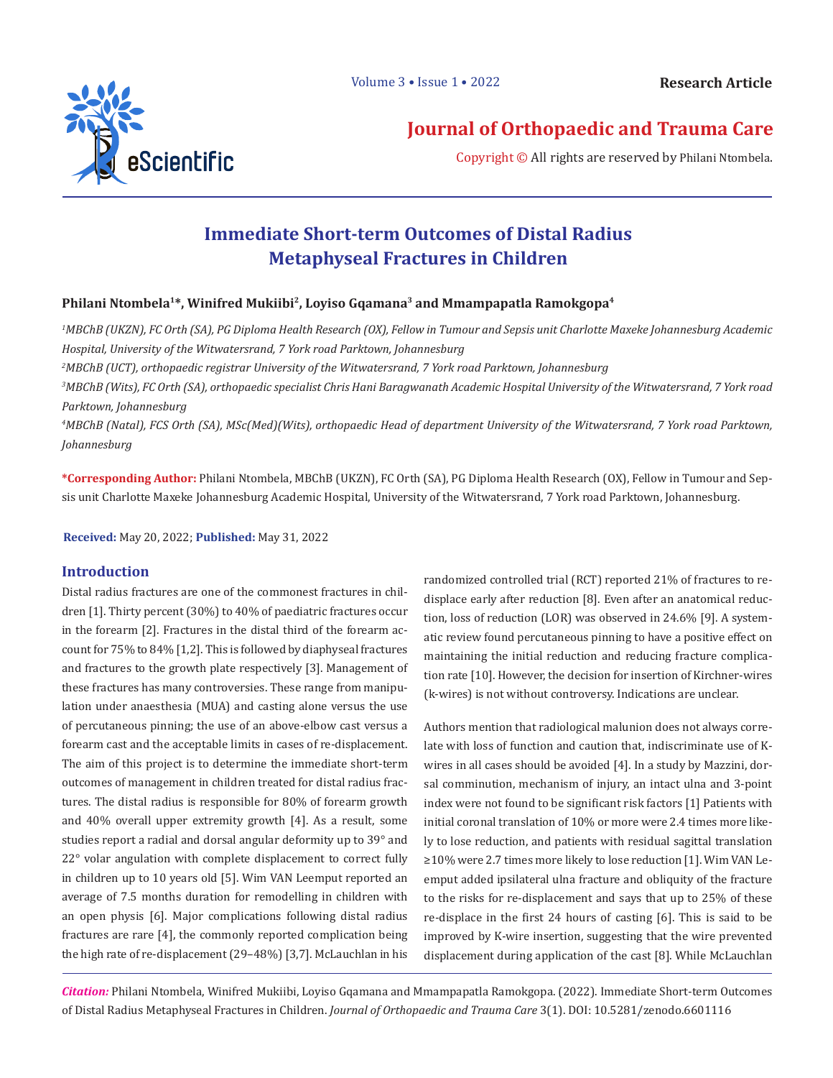

# **Journal of Orthopaedic and Trauma Care**

Copyright © All rights are reserved by Philani Ntombela.

# **Immediate Short-term Outcomes of Distal Radius Metaphyseal Fractures in Children**

## **Philani Ntombela1\*, Winifred Mukiibi2, Loyiso Gqamana3 and Mmampapatla Ramokgopa4**

*1 MBChB (UKZN), FC Orth (SA), PG Diploma Health Research (OX), Fellow in Tumour and Sepsis unit Charlotte Maxeke Johannesburg Academic Hospital, University of the Witwatersrand, 7 York road Parktown, Johannesburg* 

*2 MBChB (UCT), orthopaedic registrar University of the Witwatersrand, 7 York road Parktown, Johannesburg*

*3 MBChB (Wits), FC Orth (SA), orthopaedic specialist Chris Hani Baragwanath Academic Hospital University of the Witwatersrand, 7 York road Parktown, Johannesburg*

*4 MBChB (Natal), FCS Orth (SA), MSc(Med)(Wits), orthopaedic Head of department University of the Witwatersrand, 7 York road Parktown, Johannesburg*

**\*Corresponding Author:** Philani Ntombela, MBChB (UKZN), FC Orth (SA), PG Diploma Health Research (OX), Fellow in Tumour and Sepsis unit Charlotte Maxeke Johannesburg Academic Hospital, University of the Witwatersrand, 7 York road Parktown, Johannesburg.

**Received:** May 20, 2022; **Published:** May 31, 2022

Distal radius fractures are one of the commonest fractures in children [1]. Thirty percent (30%) to 40% of paediatric fractures occur in the forearm [2]. Fractures in the distal third of the forearm account for 75% to 84% [1,2]. This is followed by diaphyseal fractures and fractures to the growth plate respectively [3]. Management of these fractures has many controversies. These range from manipulation under anaesthesia (MUA) and casting alone versus the use of percutaneous pinning; the use of an above-elbow cast versus a forearm cast and the acceptable limits in cases of re-displacement. The aim of this project is to determine the immediate short-term outcomes of management in children treated for distal radius fractures. The distal radius is responsible for 80% of forearm growth and 40% overall upper extremity growth [4]. As a result, some studies report a radial and dorsal angular deformity up to 39° and 22° volar angulation with complete displacement to correct fully in children up to 10 years old [5]. Wim VAN Leemput reported an average of 7.5 months duration for remodelling in children with an open physis [6]. Major complications following distal radius fractures are rare [4], the commonly reported complication being the high rate of re-displacement (29–48%) [3,7]. McLauchlan in his

**Introduction**<br> **Introduction**<br> **Introduction**<br> **Introduction** displace early after reduction [8]. Even after an anatomical reduction, loss of reduction (LOR) was observed in 24.6% [9]. A systematic review found percutaneous pinning to have a positive effect on maintaining the initial reduction and reducing fracture complication rate [10]. However, the decision for insertion of Kirchner-wires (k-wires) is not without controversy. Indications are unclear.

> Authors mention that radiological malunion does not always correlate with loss of function and caution that, indiscriminate use of Kwires in all cases should be avoided [4]. In a study by Mazzini, dorsal comminution, mechanism of injury, an intact ulna and 3-point index were not found to be significant risk factors [1] Patients with initial coronal translation of 10% or more were 2.4 times more likely to lose reduction, and patients with residual sagittal translation ≥10% were 2.7 times more likely to lose reduction [1]. Wim VAN Leemput added ipsilateral ulna fracture and obliquity of the fracture to the risks for re-displacement and says that up to 25% of these re-displace in the first 24 hours of casting [6]. This is said to be improved by K-wire insertion, suggesting that the wire prevented displacement during application of the cast [8]. While McLauchlan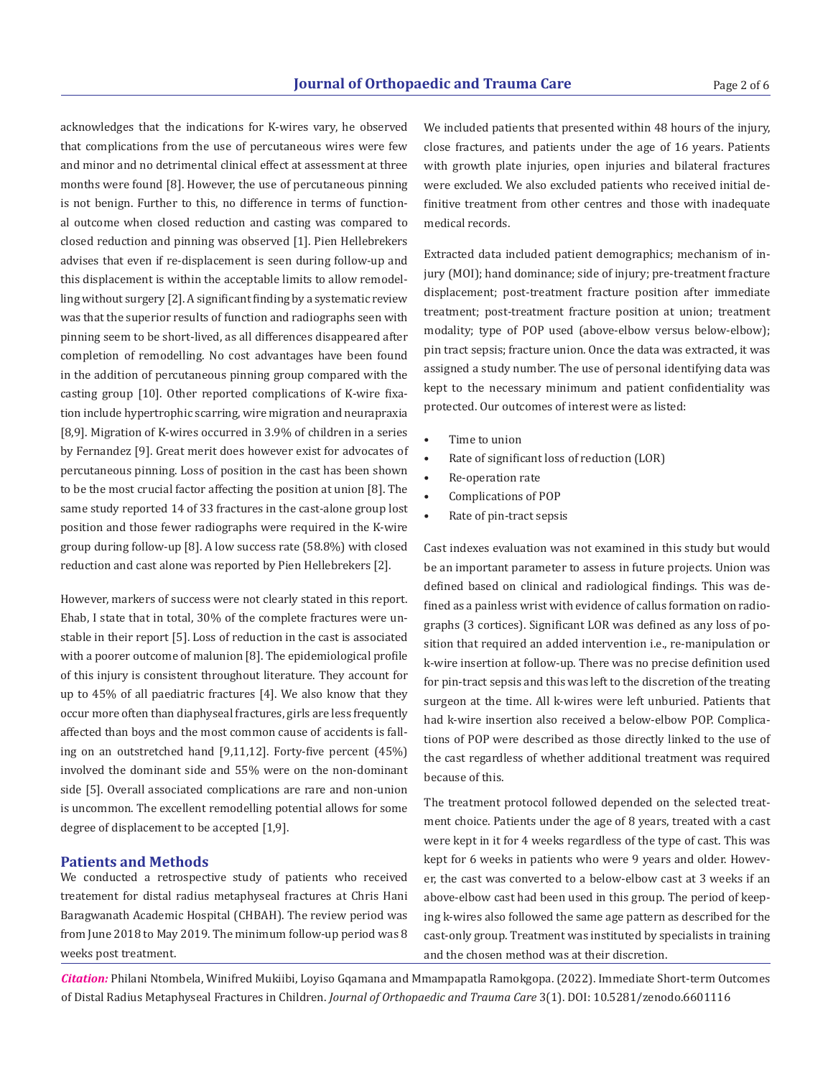acknowledges that the indications for K-wires vary, he observed that complications from the use of percutaneous wires were few and minor and no detrimental clinical effect at assessment at three months were found [8]. However, the use of percutaneous pinning is not benign. Further to this, no difference in terms of functional outcome when closed reduction and casting was compared to closed reduction and pinning was observed [1]. Pien Hellebrekers advises that even if re-displacement is seen during follow-up and this displacement is within the acceptable limits to allow remodelling without surgery [2]. A significant finding by a systematic review was that the superior results of function and radiographs seen with pinning seem to be short-lived, as all differences disappeared after completion of remodelling. No cost advantages have been found in the addition of percutaneous pinning group compared with the casting group [10]. Other reported complications of K-wire fixation include hypertrophic scarring, wire migration and neurapraxia [8,9]. Migration of K-wires occurred in 3.9% of children in a series by Fernandez [9]. Great merit does however exist for advocates of percutaneous pinning. Loss of position in the cast has been shown to be the most crucial factor affecting the position at union [8]. The same study reported 14 of 33 fractures in the cast-alone group lost position and those fewer radiographs were required in the K-wire group during follow-up [8]. A low success rate (58.8%) with closed reduction and cast alone was reported by Pien Hellebrekers [2].

However, markers of success were not clearly stated in this report. Ehab, I state that in total, 30% of the complete fractures were unstable in their report [5]. Loss of reduction in the cast is associated with a poorer outcome of malunion [8]. The epidemiological profile of this injury is consistent throughout literature. They account for up to 45% of all paediatric fractures [4]. We also know that they occur more often than diaphyseal fractures, girls are less frequently affected than boys and the most common cause of accidents is falling on an outstretched hand [9,11,12]. Forty-five percent (45%) involved the dominant side and 55% were on the non-dominant side [5]. Overall associated complications are rare and non-union is uncommon. The excellent remodelling potential allows for some degree of displacement to be accepted [1,9].

#### **Patients and Methods**

We conducted a retrospective study of patients who received treatement for distal radius metaphyseal fractures at Chris Hani Baragwanath Academic Hospital (CHBAH). The review period was from June 2018 to May 2019. The minimum follow-up period was 8 weeks post treatment.

We included patients that presented within 48 hours of the injury, close fractures, and patients under the age of 16 years. Patients with growth plate injuries, open injuries and bilateral fractures were excluded. We also excluded patients who received initial definitive treatment from other centres and those with inadequate medical records.

Extracted data included patient demographics; mechanism of injury (MOI); hand dominance; side of injury; pre-treatment fracture displacement; post-treatment fracture position after immediate treatment; post-treatment fracture position at union; treatment modality; type of POP used (above-elbow versus below-elbow); pin tract sepsis; fracture union. Once the data was extracted, it was assigned a study number. The use of personal identifying data was kept to the necessary minimum and patient confidentiality was protected. Our outcomes of interest were as listed:

- Time to union
- Rate of significant loss of reduction (LOR)
- Re-operation rate
- Complications of POP
- Rate of pin-tract sepsis

Cast indexes evaluation was not examined in this study but would be an important parameter to assess in future projects. Union was defined based on clinical and radiological findings. This was defined as a painless wrist with evidence of callus formation on radiographs (3 cortices). Significant LOR was defined as any loss of position that required an added intervention i.e., re-manipulation or k-wire insertion at follow-up. There was no precise definition used for pin-tract sepsis and this was left to the discretion of the treating surgeon at the time. All k-wires were left unburied. Patients that had k-wire insertion also received a below-elbow POP. Complications of POP were described as those directly linked to the use of the cast regardless of whether additional treatment was required because of this.

The treatment protocol followed depended on the selected treatment choice. Patients under the age of 8 years, treated with a cast were kept in it for 4 weeks regardless of the type of cast. This was kept for 6 weeks in patients who were 9 years and older. However, the cast was converted to a below-elbow cast at 3 weeks if an above-elbow cast had been used in this group. The period of keeping k-wires also followed the same age pattern as described for the cast-only group. Treatment was instituted by specialists in training and the chosen method was at their discretion.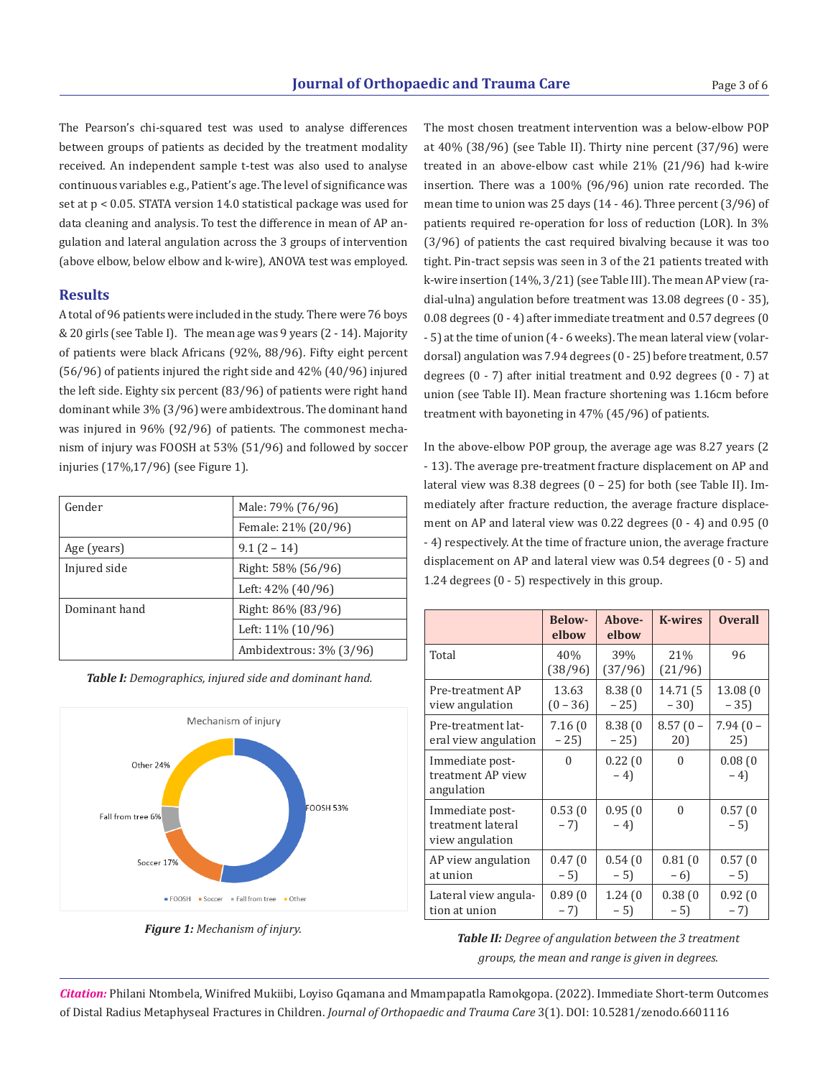The Pearson's chi-squared test was used to analyse differences between groups of patients as decided by the treatment modality received. An independent sample t-test was also used to analyse continuous variables e.g., Patient's age. The level of significance was set at p < 0.05. STATA version 14.0 statistical package was used for data cleaning and analysis. To test the difference in mean of AP angulation and lateral angulation across the 3 groups of intervention (above elbow, below elbow and k-wire), ANOVA test was employed.

### **Results**

A total of 96 patients were included in the study. There were 76 boys & 20 girls (see Table I). The mean age was 9 years (2 - 14). Majority of patients were black Africans (92%, 88/96). Fifty eight percent (56/96) of patients injured the right side and 42% (40/96) injured the left side. Eighty six percent (83/96) of patients were right hand dominant while 3% (3/96) were ambidextrous. The dominant hand was injured in 96% (92/96) of patients. The commonest mechanism of injury was FOOSH at 53% (51/96) and followed by soccer injuries (17%,17/96) (see Figure 1).

| Gender        | Male: 79% (76/96)       |  |
|---------------|-------------------------|--|
|               | Female: 21% (20/96)     |  |
| Age (years)   | $9.1(2 - 14)$           |  |
| Injured side  | Right: 58% (56/96)      |  |
|               | Left: $42\%$ (40/96)    |  |
| Dominant hand | Right: 86% (83/96)      |  |
|               | Left: 11% (10/96)       |  |
|               | Ambidextrous: 3% (3/96) |  |





*Figure 1: Mechanism of injury.*

The most chosen treatment intervention was a below-elbow POP at 40% (38/96) (see Table II). Thirty nine percent (37/96) were treated in an above-elbow cast while 21% (21/96) had k-wire insertion. There was a 100% (96/96) union rate recorded. The mean time to union was 25 days (14 - 46). Three percent (3/96) of patients required re-operation for loss of reduction (LOR). In 3% (3/96) of patients the cast required bivalving because it was too tight. Pin-tract sepsis was seen in 3 of the 21 patients treated with k-wire insertion (14%, 3/21) (see Table III). The mean AP view (radial-ulna) angulation before treatment was 13.08 degrees (0 - 35), 0.08 degrees (0 - 4) after immediate treatment and 0.57 degrees (0 - 5) at the time of union (4 - 6 weeks). The mean lateral view (volardorsal) angulation was 7.94 degrees (0 - 25) before treatment, 0.57 degrees (0 - 7) after initial treatment and 0.92 degrees (0 - 7) at union (see Table II). Mean fracture shortening was 1.16cm before treatment with bayoneting in 47% (45/96) of patients.

In the above-elbow POP group, the average age was 8.27 years (2 - 13). The average pre-treatment fracture displacement on AP and lateral view was 8.38 degrees (0 – 25) for both (see Table II). Immediately after fracture reduction, the average fracture displacement on AP and lateral view was 0.22 degrees (0 - 4) and 0.95 (0 - 4) respectively. At the time of fracture union, the average fracture displacement on AP and lateral view was 0.54 degrees (0 - 5) and 1.24 degrees (0 - 5) respectively in this group.

|                                                         | <b>Below-</b><br>elbow | Above-<br>elbow | <b>K-wires</b> | <b>Overall</b>  |
|---------------------------------------------------------|------------------------|-----------------|----------------|-----------------|
| Total                                                   | 40%<br>(38/96)         | 39%<br>(37/96)  | 21%<br>(21/96) | 96              |
| Pre-treatment AP                                        | 13.63                  | 8.38(0)         | 14.71 (5       | 13.08 (0        |
| view angulation                                         | $(0 - 36)$             | $-25$           | $-30$          | $-35$           |
| Pre-treatment lat-                                      | 7.16 (0                | 8.38(0)         | $8.57(0 -$     | $7.94(0 -$      |
| eral view angulation                                    | $-25$                  | $-25$           | 20)            | 25)             |
| Immediate post-<br>treatment AP view<br>angulation      | $\Omega$               | 0.22(0)<br>$-4$ | $\Omega$       | 0.08(0)<br>$-4$ |
| Immediate post-<br>treatment lateral<br>view angulation | 0.53(0)<br>$-7$        | 0.95(0)<br>$-4$ | $\Omega$       | 0.57(0)<br>$-5$ |
| AP view angulation                                      | 0.47(0)                | 0.54(0)         | 0.81(0)        | 0.57(0)         |
| at union                                                | $-5$                   | $-5$            | $-6$           | $-5$            |
| Lateral view angula-                                    | 0.89(0)                | 1.24(0)         | 0.38(0)        | 0.92(0)         |
| tion at union                                           | $-7)$                  | $-5$            | $-5$           | $-7$            |

## *Table II: Degree of angulation between the 3 treatment groups, the mean and range is given in degrees.*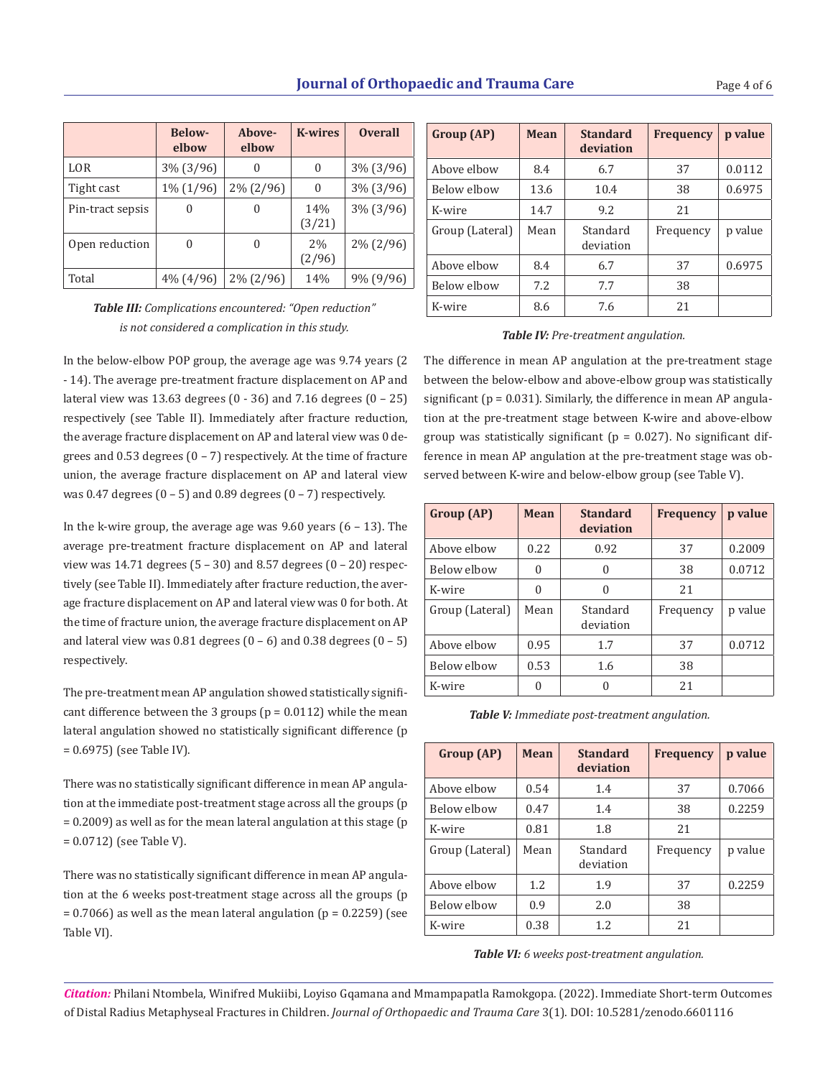|                  | <b>Below-</b><br>elbow | Above-<br>elbow | <b>K-wires</b> | <b>Overall</b> |
|------------------|------------------------|-----------------|----------------|----------------|
| LOR              | 3% (3/96)              | 0               | 0              | $3\%$ (3/96)   |
| Tight cast       | 1% (1/96)              | $2\% (2/96)$    | 0              | $3\%$ (3/96)   |
| Pin-tract sepsis | 0                      | 0               | 14%<br>(3/21)  | $3\%$ (3/96)   |
| Open reduction   | 0                      | $\Omega$        | 2%<br>(2/96)   | $2\% (2/96)$   |
| Total            | $4\%$ (4/96)           | $2\% (2/96)$    | 14%            | 9% (9/96)      |

| Group (AP)      | Mean | <b>Standard</b><br>deviation | <b>Frequency</b> | p value |
|-----------------|------|------------------------------|------------------|---------|
| Above elbow     | 8.4  | 6.7                          | 37               | 0.0112  |
| Below elbow     | 13.6 | 10.4                         | 38               | 0.6975  |
| K-wire          | 14.7 | 9.2                          | 2.1              |         |
| Group (Lateral) | Mean | Standard<br>deviation        | Frequency        | p value |
| Above elbow     | 8.4  | 6.7                          | 37               | 0.6975  |
| Below elbow     | 7.2  | 7.7                          | 38               |         |
| K-wire          | 8.6  | 7.6                          | 2.1              |         |

*Table III: Complications encountered: "Open reduction" is not considered a complication in this study.*

In the below-elbow POP group, the average age was 9.74 years (2 - 14). The average pre-treatment fracture displacement on AP and lateral view was 13.63 degrees (0 - 36) and 7.16 degrees (0 – 25) respectively (see Table II). Immediately after fracture reduction, the average fracture displacement on AP and lateral view was 0 degrees and  $0.53$  degrees  $(0 - 7)$  respectively. At the time of fracture union, the average fracture displacement on AP and lateral view was 0.47 degrees  $(0 - 5)$  and 0.89 degrees  $(0 - 7)$  respectively.

In the k-wire group, the average age was  $9.60$  years  $(6 - 13)$ . The average pre-treatment fracture displacement on AP and lateral view was 14.71 degrees  $(5 - 30)$  and 8.57 degrees  $(0 - 20)$  respectively (see Table II). Immediately after fracture reduction, the average fracture displacement on AP and lateral view was 0 for both. At the time of fracture union, the average fracture displacement on AP and lateral view was  $0.81$  degrees  $(0 - 6)$  and  $0.38$  degrees  $(0 - 5)$ respectively.

The pre-treatment mean AP angulation showed statistically significant difference between the 3 groups ( $p = 0.0112$ ) while the mean lateral angulation showed no statistically significant difference (p = 0.6975) (see Table IV).

There was no statistically significant difference in mean AP angulation at the immediate post-treatment stage across all the groups (p = 0.2009) as well as for the mean lateral angulation at this stage (p = 0.0712) (see Table V).

There was no statistically significant difference in mean AP angulation at the 6 weeks post-treatment stage across all the groups (p  $= 0.7066$ ) as well as the mean lateral angulation (p = 0.2259) (see Table VI).

#### *Table IV: Pre-treatment angulation.*

The difference in mean AP angulation at the pre-treatment stage between the below-elbow and above-elbow group was statistically significant ( $p = 0.031$ ). Similarly, the difference in mean AP angulation at the pre-treatment stage between K-wire and above-elbow group was statistically significant ( $p = 0.027$ ). No significant difference in mean AP angulation at the pre-treatment stage was observed between K-wire and below-elbow group (see Table V).

| Group (AP)      | <b>Mean</b> | <b>Standard</b><br>deviation | <b>Frequency</b> | p value |
|-----------------|-------------|------------------------------|------------------|---------|
| Above elbow     | 0.22        | 0.92                         | 37               | 0.2009  |
| Below elbow     | 0           | 0                            | 38               | 0.0712  |
| K-wire          | $\Omega$    | O                            | 21               |         |
| Group (Lateral) | Mean        | Standard<br>deviation        | Frequency        | p value |
| Above elbow     | 0.95        | 1.7                          | 37               | 0.0712  |
| Below elbow     | 0.53        | 1.6                          | 38               |         |
| K-wire          | 0           | 0                            | 21               |         |

*Table V: Immediate post-treatment angulation.*

| Group (AP)      | Mean | <b>Standard</b><br>deviation | <b>Frequency</b> | p value |
|-----------------|------|------------------------------|------------------|---------|
| Above elbow     | 0.54 | 1.4                          | 37               | 0.7066  |
| Below elbow     | 0.47 | 1.4                          | 38               | 0.2259  |
| K-wire          | 0.81 | 1.8                          | 21               |         |
| Group (Lateral) | Mean | Standard<br>deviation        | Frequency        | p value |
| Above elbow     | 1.2. | 1.9                          | 37               | 0.2259  |
| Below elbow     | 0.9  | 2.0                          | 38               |         |
| K-wire          | 0.38 | 1.2.                         | 21               |         |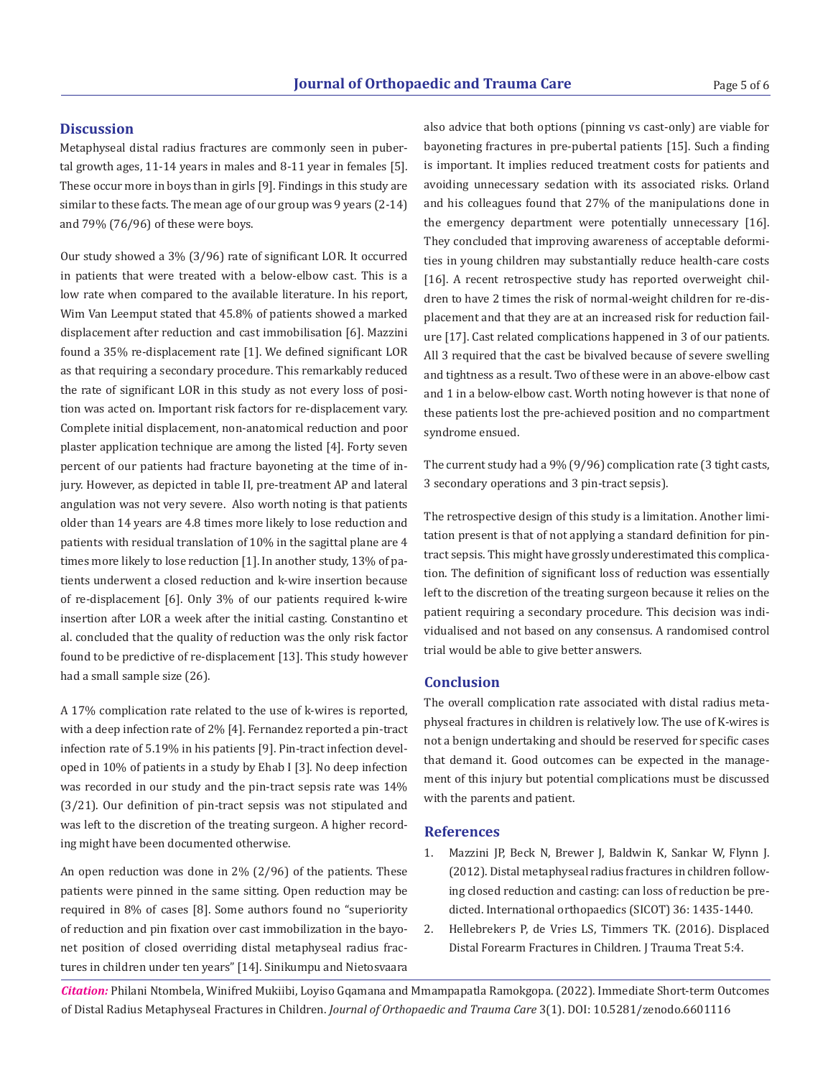#### **Discussion**

Metaphyseal distal radius fractures are commonly seen in pubertal growth ages, 11-14 years in males and 8-11 year in females [5]. These occur more in boys than in girls [9]. Findings in this study are similar to these facts. The mean age of our group was 9 years (2-14) and 79% (76/96) of these were boys.

Our study showed a 3% (3/96) rate of significant LOR. It occurred in patients that were treated with a below-elbow cast. This is a low rate when compared to the available literature. In his report, Wim Van Leemput stated that 45.8% of patients showed a marked displacement after reduction and cast immobilisation [6]. Mazzini found a 35% re-displacement rate [1]. We defined significant LOR as that requiring a secondary procedure. This remarkably reduced the rate of significant LOR in this study as not every loss of position was acted on. Important risk factors for re-displacement vary. Complete initial displacement, non-anatomical reduction and poor plaster application technique are among the listed [4]. Forty seven percent of our patients had fracture bayoneting at the time of injury. However, as depicted in table II, pre-treatment AP and lateral angulation was not very severe. Also worth noting is that patients older than 14 years are 4.8 times more likely to lose reduction and patients with residual translation of 10% in the sagittal plane are 4 times more likely to lose reduction [1]. In another study, 13% of patients underwent a closed reduction and k-wire insertion because of re-displacement [6]. Only 3% of our patients required k-wire insertion after LOR a week after the initial casting. Constantino et al. concluded that the quality of reduction was the only risk factor found to be predictive of re-displacement [13]. This study however had a small sample size (26).

A 17% complication rate related to the use of k-wires is reported, with a deep infection rate of 2% [4]. Fernandez reported a pin-tract infection rate of 5.19% in his patients [9]. Pin-tract infection developed in 10% of patients in a study by Ehab I [3]. No deep infection was recorded in our study and the pin-tract sepsis rate was 14% (3/21). Our definition of pin-tract sepsis was not stipulated and was left to the discretion of the treating surgeon. A higher recording might have been documented otherwise.

An open reduction was done in 2% (2/96) of the patients. These patients were pinned in the same sitting. Open reduction may be required in 8% of cases [8]. Some authors found no "superiority of reduction and pin fixation over cast immobilization in the bayonet position of closed overriding distal metaphyseal radius fractures in children under ten years" [14]. Sinikumpu and Nietosvaara

also advice that both options (pinning vs cast-only) are viable for bayoneting fractures in pre-pubertal patients [15]. Such a finding is important. It implies reduced treatment costs for patients and avoiding unnecessary sedation with its associated risks. Orland and his colleagues found that 27% of the manipulations done in the emergency department were potentially unnecessary [16]. They concluded that improving awareness of acceptable deformities in young children may substantially reduce health-care costs [16]. A recent retrospective study has reported overweight children to have 2 times the risk of normal-weight children for re-displacement and that they are at an increased risk for reduction failure [17]. Cast related complications happened in 3 of our patients. All 3 required that the cast be bivalved because of severe swelling and tightness as a result. Two of these were in an above-elbow cast and 1 in a below-elbow cast. Worth noting however is that none of these patients lost the pre-achieved position and no compartment syndrome ensued.

The current study had a 9% (9/96) complication rate (3 tight casts, 3 secondary operations and 3 pin-tract sepsis).

The retrospective design of this study is a limitation. Another limitation present is that of not applying a standard definition for pintract sepsis. This might have grossly underestimated this complication. The definition of significant loss of reduction was essentially left to the discretion of the treating surgeon because it relies on the patient requiring a secondary procedure. This decision was individualised and not based on any consensus. A randomised control trial would be able to give better answers.

#### **Conclusion**

The overall complication rate associated with distal radius metaphyseal fractures in children is relatively low. The use of K-wires is not a benign undertaking and should be reserved for specific cases that demand it. Good outcomes can be expected in the management of this injury but potential complications must be discussed with the parents and patient.

#### **References**

- 1. Mazzini JP, Beck N, Brewer J, Baldwin K, Sankar W, Flynn J. (2012). Distal metaphyseal radius fractures in children following closed reduction and casting: can loss of reduction be predicted. International orthopaedics (SICOT) 36: 1435-1440.
- 2. Hellebrekers P, de Vries LS, Timmers TK. (2016). Displaced Distal Forearm Fractures in Children. J Trauma Treat 5:4.